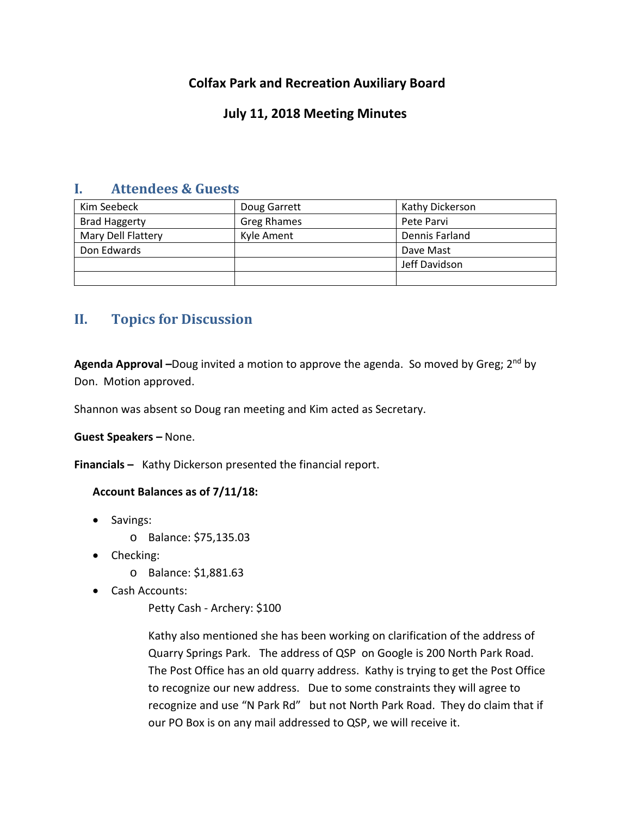# **Colfax Park and Recreation Auxiliary Board**

## **July 11, 2018 Meeting Minutes**

## **I. Attendees & Guests**

| Kim Seebeck          | Doug Garrett       | Kathy Dickerson |
|----------------------|--------------------|-----------------|
| <b>Brad Haggerty</b> | <b>Greg Rhames</b> | Pete Parvi      |
| Mary Dell Flattery   | Kyle Ament         | Dennis Farland  |
| Don Edwards          |                    | Dave Mast       |
|                      |                    | Jeff Davidson   |
|                      |                    |                 |

# **II. Topics for Discussion**

Agenda Approval –Doug invited a motion to approve the agenda. So moved by Greg; 2<sup>nd</sup> by Don. Motion approved.

Shannon was absent so Doug ran meeting and Kim acted as Secretary.

**Guest Speakers –** None.

**Financials –** Kathy Dickerson presented the financial report.

### **Account Balances as of 7/11/18:**

- Savings:
	- o Balance: \$75,135.03
- Checking:
	- o Balance: \$1,881.63
- Cash Accounts:
	- Petty Cash Archery: \$100

Kathy also mentioned she has been working on clarification of the address of Quarry Springs Park. The address of QSP on Google is 200 North Park Road. The Post Office has an old quarry address. Kathy is trying to get the Post Office to recognize our new address. Due to some constraints they will agree to recognize and use "N Park Rd" but not North Park Road. They do claim that if our PO Box is on any mail addressed to QSP, we will receive it.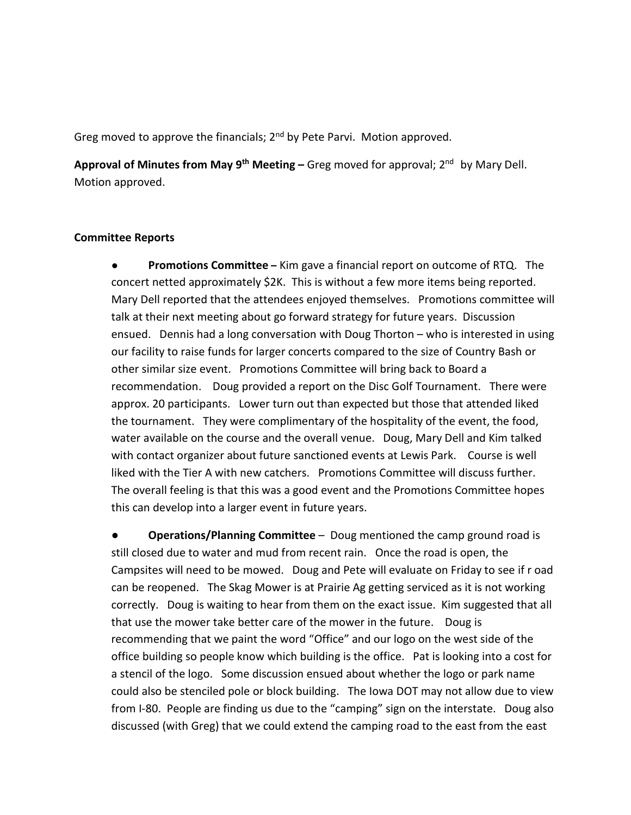Greg moved to approve the financials; 2<sup>nd</sup> by Pete Parvi. Motion approved.

**Approval of Minutes from May 9th Meeting –** Greg moved for approval; 2nd by Mary Dell. Motion approved.

### **Committee Reports**

● **Promotions Committee –** Kim gave a financial report on outcome of RTQ. The concert netted approximately \$2K. This is without a few more items being reported. Mary Dell reported that the attendees enjoyed themselves. Promotions committee will talk at their next meeting about go forward strategy for future years. Discussion ensued. Dennis had a long conversation with Doug Thorton – who is interested in using our facility to raise funds for larger concerts compared to the size of Country Bash or other similar size event. Promotions Committee will bring back to Board a recommendation. Doug provided a report on the Disc Golf Tournament. There were approx. 20 participants. Lower turn out than expected but those that attended liked the tournament. They were complimentary of the hospitality of the event, the food, water available on the course and the overall venue. Doug, Mary Dell and Kim talked with contact organizer about future sanctioned events at Lewis Park. Course is well liked with the Tier A with new catchers. Promotions Committee will discuss further. The overall feeling is that this was a good event and the Promotions Committee hopes this can develop into a larger event in future years.

**Operations/Planning Committee** – Doug mentioned the camp ground road is still closed due to water and mud from recent rain. Once the road is open, the Campsites will need to be mowed. Doug and Pete will evaluate on Friday to see if r oad can be reopened. The Skag Mower is at Prairie Ag getting serviced as it is not working correctly. Doug is waiting to hear from them on the exact issue. Kim suggested that all that use the mower take better care of the mower in the future. Doug is recommending that we paint the word "Office" and our logo on the west side of the office building so people know which building is the office. Pat is looking into a cost for a stencil of the logo. Some discussion ensued about whether the logo or park name could also be stenciled pole or block building. The Iowa DOT may not allow due to view from I-80. People are finding us due to the "camping" sign on the interstate. Doug also discussed (with Greg) that we could extend the camping road to the east from the east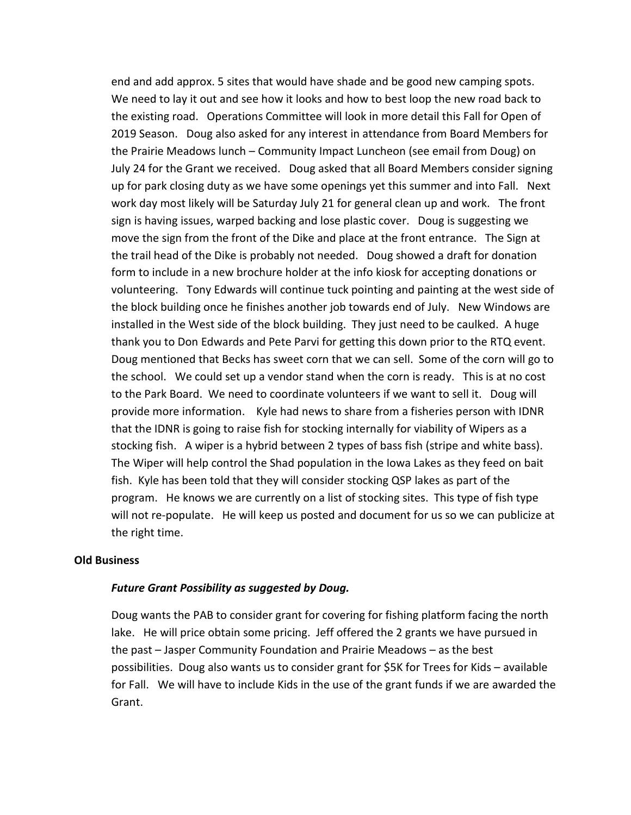end and add approx. 5 sites that would have shade and be good new camping spots. We need to lay it out and see how it looks and how to best loop the new road back to the existing road. Operations Committee will look in more detail this Fall for Open of 2019 Season. Doug also asked for any interest in attendance from Board Members for the Prairie Meadows lunch – Community Impact Luncheon (see email from Doug) on July 24 for the Grant we received. Doug asked that all Board Members consider signing up for park closing duty as we have some openings yet this summer and into Fall. Next work day most likely will be Saturday July 21 for general clean up and work. The front sign is having issues, warped backing and lose plastic cover. Doug is suggesting we move the sign from the front of the Dike and place at the front entrance. The Sign at the trail head of the Dike is probably not needed. Doug showed a draft for donation form to include in a new brochure holder at the info kiosk for accepting donations or volunteering. Tony Edwards will continue tuck pointing and painting at the west side of the block building once he finishes another job towards end of July. New Windows are installed in the West side of the block building. They just need to be caulked. A huge thank you to Don Edwards and Pete Parvi for getting this down prior to the RTQ event. Doug mentioned that Becks has sweet corn that we can sell. Some of the corn will go to the school. We could set up a vendor stand when the corn is ready. This is at no cost to the Park Board. We need to coordinate volunteers if we want to sell it. Doug will provide more information. Kyle had news to share from a fisheries person with IDNR that the IDNR is going to raise fish for stocking internally for viability of Wipers as a stocking fish. A wiper is a hybrid between 2 types of bass fish (stripe and white bass). The Wiper will help control the Shad population in the Iowa Lakes as they feed on bait fish. Kyle has been told that they will consider stocking QSP lakes as part of the program. He knows we are currently on a list of stocking sites. This type of fish type will not re-populate. He will keep us posted and document for us so we can publicize at the right time.

### **Old Business**

### *Future Grant Possibility as suggested by Doug.*

Doug wants the PAB to consider grant for covering for fishing platform facing the north lake. He will price obtain some pricing. Jeff offered the 2 grants we have pursued in the past – Jasper Community Foundation and Prairie Meadows – as the best possibilities. Doug also wants us to consider grant for \$5K for Trees for Kids – available for Fall. We will have to include Kids in the use of the grant funds if we are awarded the Grant.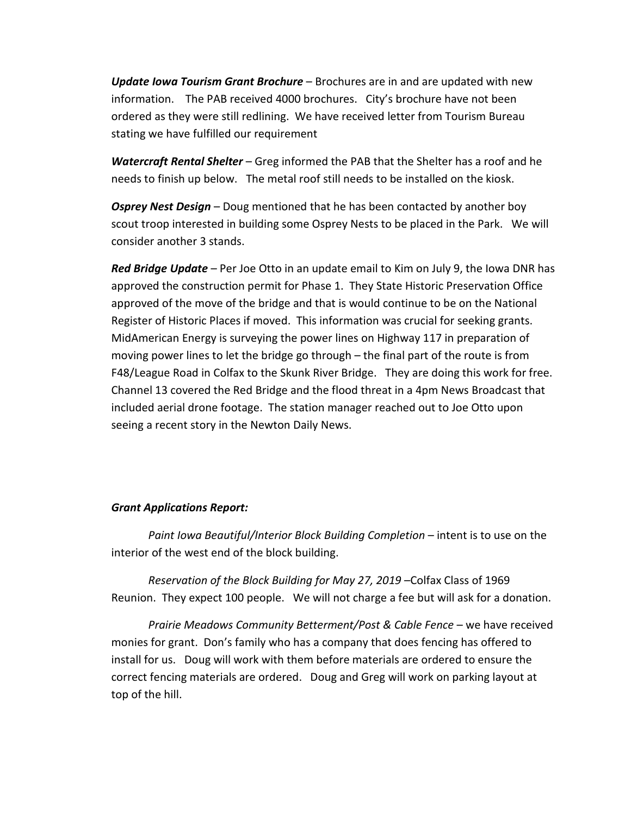*Update Iowa Tourism Grant Brochure* – Brochures are in and are updated with new information. The PAB received 4000 brochures. City's brochure have not been ordered as they were still redlining. We have received letter from Tourism Bureau stating we have fulfilled our requirement

*Watercraft Rental Shelter* – Greg informed the PAB that the Shelter has a roof and he needs to finish up below. The metal roof still needs to be installed on the kiosk.

*Osprey Nest Design* – Doug mentioned that he has been contacted by another boy scout troop interested in building some Osprey Nests to be placed in the Park. We will consider another 3 stands.

*Red Bridge Update* – Per Joe Otto in an update email to Kim on July 9, the Iowa DNR has approved the construction permit for Phase 1. They State Historic Preservation Office approved of the move of the bridge and that is would continue to be on the National Register of Historic Places if moved. This information was crucial for seeking grants. MidAmerican Energy is surveying the power lines on Highway 117 in preparation of moving power lines to let the bridge go through – the final part of the route is from F48/League Road in Colfax to the Skunk River Bridge. They are doing this work for free. Channel 13 covered the Red Bridge and the flood threat in a 4pm News Broadcast that included aerial drone footage. The station manager reached out to Joe Otto upon seeing a recent story in the Newton Daily News.

### *Grant Applications Report:*

*Paint Iowa Beautiful/Interior Block Building Completion* – intent is to use on the interior of the west end of the block building.

*Reservation of the Block Building for May 27, 2019 –*Colfax Class of 1969 Reunion. They expect 100 people. We will not charge a fee but will ask for a donation.

*Prairie Meadows Community Betterment/Post & Cable Fence* – we have received monies for grant. Don's family who has a company that does fencing has offered to install for us. Doug will work with them before materials are ordered to ensure the correct fencing materials are ordered. Doug and Greg will work on parking layout at top of the hill.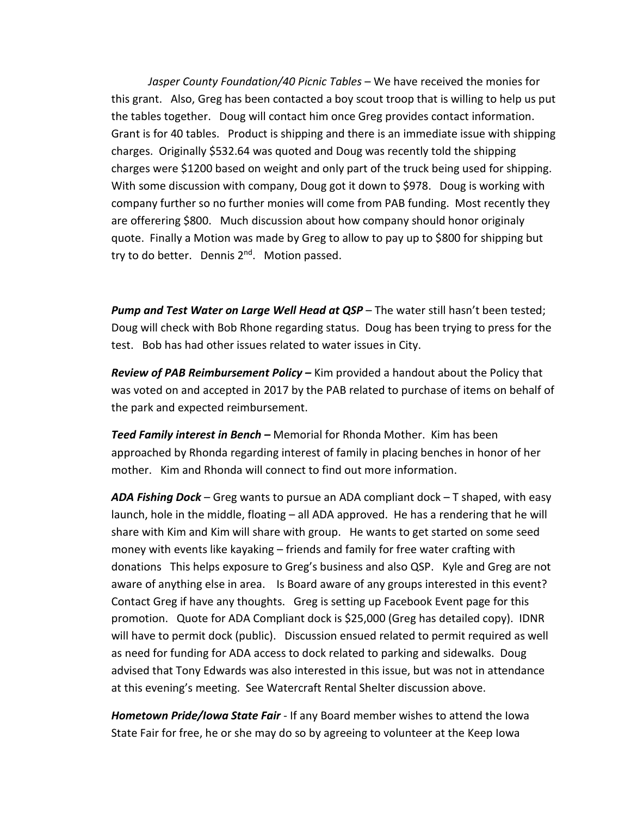*Jasper County Foundation/40 Picnic Tables* – We have received the monies for this grant. Also, Greg has been contacted a boy scout troop that is willing to help us put the tables together. Doug will contact him once Greg provides contact information. Grant is for 40 tables. Product is shipping and there is an immediate issue with shipping charges. Originally \$532.64 was quoted and Doug was recently told the shipping charges were \$1200 based on weight and only part of the truck being used for shipping. With some discussion with company, Doug got it down to \$978. Doug is working with company further so no further monies will come from PAB funding. Most recently they are offerering \$800. Much discussion about how company should honor originaly quote. Finally a Motion was made by Greg to allow to pay up to \$800 for shipping but try to do better. Dennis 2<sup>nd</sup>. Motion passed.

*Pump and Test Water on Large Well Head at QSP* – The water still hasn't been tested; Doug will check with Bob Rhone regarding status. Doug has been trying to press for the test. Bob has had other issues related to water issues in City.

*Review of PAB Reimbursement Policy –* Kim provided a handout about the Policy that was voted on and accepted in 2017 by the PAB related to purchase of items on behalf of the park and expected reimbursement.

*Teed Family interest in Bench –* Memorial for Rhonda Mother. Kim has been approached by Rhonda regarding interest of family in placing benches in honor of her mother. Kim and Rhonda will connect to find out more information.

*ADA Fishing Dock* – Greg wants to pursue an ADA compliant dock – T shaped, with easy launch, hole in the middle, floating – all ADA approved. He has a rendering that he will share with Kim and Kim will share with group. He wants to get started on some seed money with events like kayaking – friends and family for free water crafting with donations This helps exposure to Greg's business and also QSP. Kyle and Greg are not aware of anything else in area. Is Board aware of any groups interested in this event? Contact Greg if have any thoughts. Greg is setting up Facebook Event page for this promotion. Quote for ADA Compliant dock is \$25,000 (Greg has detailed copy). IDNR will have to permit dock (public). Discussion ensued related to permit required as well as need for funding for ADA access to dock related to parking and sidewalks. Doug advised that Tony Edwards was also interested in this issue, but was not in attendance at this evening's meeting. See Watercraft Rental Shelter discussion above.

*Hometown Pride/Iowa State Fair* - If any Board member wishes to attend the Iowa State Fair for free, he or she may do so by agreeing to volunteer at the Keep Iowa